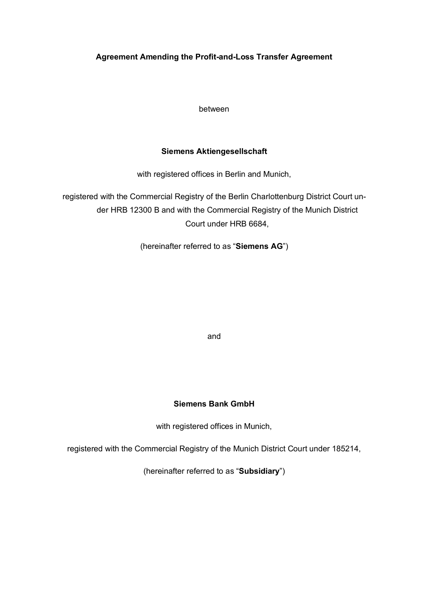# **Agreement Amending the Profit-and-Loss Transfer Agreement**

between

# **Siemens Aktiengesellschaft**

with registered offices in Berlin and Munich,

registered with the Commercial Registry of the Berlin Charlottenburg District Court under HRB 12300 B and with the Commercial Registry of the Munich District Court under HRB 6684,

(hereinafter referred to as "**Siemens AG**")

and

# **Siemens Bank GmbH**

with registered offices in Munich,

registered with the Commercial Registry of the Munich District Court under 185214,

(hereinafter referred to as "**Subsidiary**")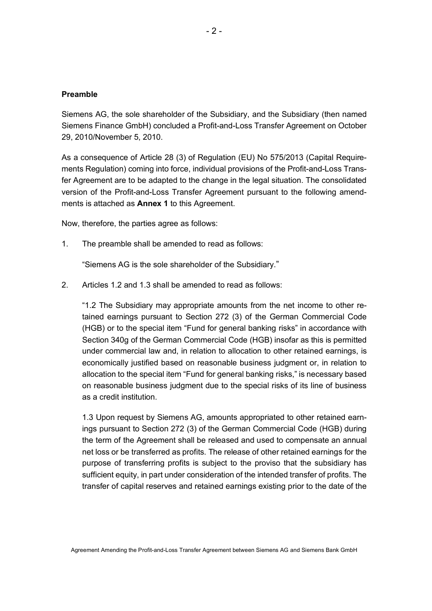#### **Preamble**

Siemens AG, the sole shareholder of the Subsidiary, and the Subsidiary (then named Siemens Finance GmbH) concluded a Profit-and-Loss Transfer Agreement on October 29, 2010/November 5, 2010.

As a consequence of Article 28 (3) of Regulation (EU) No 575/2013 (Capital Requirements Regulation) coming into force, individual provisions of the Profit-and-Loss Transfer Agreement are to be adapted to the change in the legal situation. The consolidated version of the Profit-and-Loss Transfer Agreement pursuant to the following amendments is attached as **Annex 1** to this Agreement.

Now, therefore, the parties agree as follows:

1. The preamble shall be amended to read as follows:

"Siemens AG is the sole shareholder of the Subsidiary."

2. Articles 1.2 and 1.3 shall be amended to read as follows:

"1.2 The Subsidiary may appropriate amounts from the net income to other retained earnings pursuant to Section 272 (3) of the German Commercial Code (HGB) or to the special item "Fund for general banking risks" in accordance with Section 340g of the German Commercial Code (HGB) insofar as this is permitted under commercial law and, in relation to allocation to other retained earnings, is economically justified based on reasonable business judgment or, in relation to allocation to the special item "Fund for general banking risks," is necessary based on reasonable business judgment due to the special risks of its line of business as a credit institution.

1.3 Upon request by Siemens AG, amounts appropriated to other retained earnings pursuant to Section 272 (3) of the German Commercial Code (HGB) during the term of the Agreement shall be released and used to compensate an annual net loss or be transferred as profits. The release of other retained earnings for the purpose of transferring profits is subject to the proviso that the subsidiary has sufficient equity, in part under consideration of the intended transfer of profits. The transfer of capital reserves and retained earnings existing prior to the date of the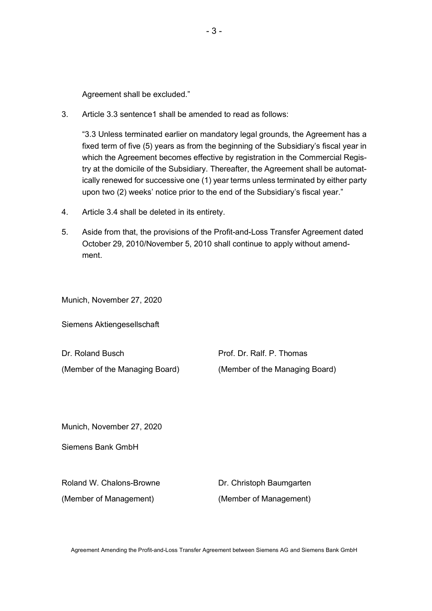Agreement shall be excluded."

3. Article 3.3 sentence1 shall be amended to read as follows:

"3.3 Unless terminated earlier on mandatory legal grounds, the Agreement has a fixed term of five (5) years as from the beginning of the Subsidiary's fiscal year in which the Agreement becomes effective by registration in the Commercial Registry at the domicile of the Subsidiary. Thereafter, the Agreement shall be automatically renewed for successive one (1) year terms unless terminated by either party upon two (2) weeks' notice prior to the end of the Subsidiary's fiscal year."

- 4. Article 3.4 shall be deleted in its entirety.
- 5. Aside from that, the provisions of the Profit-and-Loss Transfer Agreement dated October 29, 2010/November 5, 2010 shall continue to apply without amendment.

Munich, November 27, 2020

Siemens Aktiengesellschaft

| Dr. Roland Busch               | Prof. Dr. Ralf. P. Thomas      |
|--------------------------------|--------------------------------|
| (Member of the Managing Board) | (Member of the Managing Board) |

Munich, November 27, 2020

Siemens Bank GmbH

Roland W. Chalons-Browne **Dr. Christoph Baumgarten** (Member of Management) (Member of Management)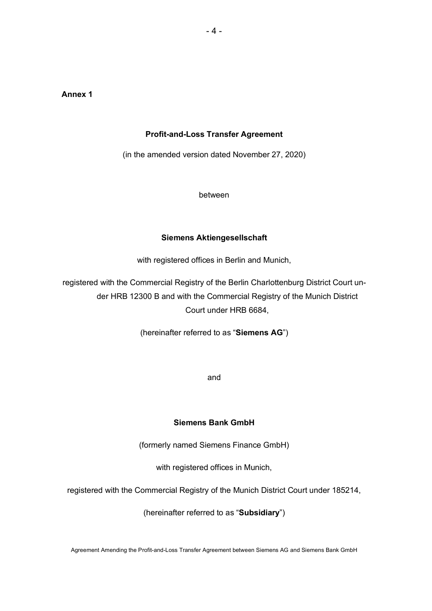# **Annex 1**

#### **Profit-and-Loss Transfer Agreement**

(in the amended version dated November 27, 2020)

between

#### **Siemens Aktiengesellschaft**

with registered offices in Berlin and Munich,

registered with the Commercial Registry of the Berlin Charlottenburg District Court under HRB 12300 B and with the Commercial Registry of the Munich District Court under HRB 6684,

(hereinafter referred to as "**Siemens AG**")

and

#### **Siemens Bank GmbH**

(formerly named Siemens Finance GmbH)

with registered offices in Munich,

registered with the Commercial Registry of the Munich District Court under 185214,

(hereinafter referred to as "**Subsidiary**")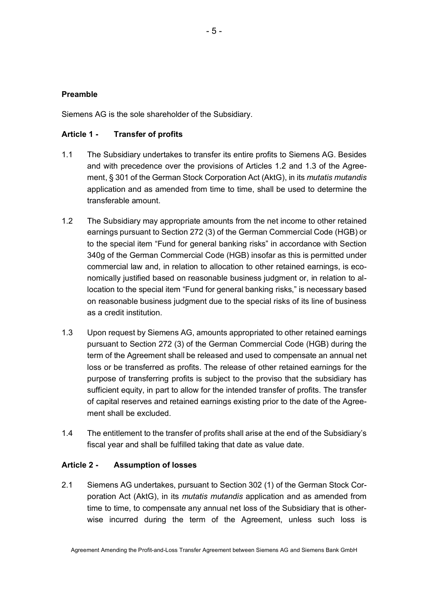## **Preamble**

Siemens AG is the sole shareholder of the Subsidiary.

### **Article 1 - Transfer of profits**

- 1.1 The Subsidiary undertakes to transfer its entire profits to Siemens AG. Besides and with precedence over the provisions of Articles 1.2 and 1.3 of the Agreement, § 301 of the German Stock Corporation Act (AktG), in its *mutatis mutandis* application and as amended from time to time, shall be used to determine the transferable amount.
- 1.2 The Subsidiary may appropriate amounts from the net income to other retained earnings pursuant to Section 272 (3) of the German Commercial Code (HGB) or to the special item "Fund for general banking risks" in accordance with Section 340g of the German Commercial Code (HGB) insofar as this is permitted under commercial law and, in relation to allocation to other retained earnings, is economically justified based on reasonable business judgment or, in relation to allocation to the special item "Fund for general banking risks," is necessary based on reasonable business judgment due to the special risks of its line of business as a credit institution.
- 1.3 Upon request by Siemens AG, amounts appropriated to other retained earnings pursuant to Section 272 (3) of the German Commercial Code (HGB) during the term of the Agreement shall be released and used to compensate an annual net loss or be transferred as profits. The release of other retained earnings for the purpose of transferring profits is subject to the proviso that the subsidiary has sufficient equity, in part to allow for the intended transfer of profits. The transfer of capital reserves and retained earnings existing prior to the date of the Agreement shall be excluded.
- 1.4 The entitlement to the transfer of profits shall arise at the end of the Subsidiary's fiscal year and shall be fulfilled taking that date as value date.

### **Article 2 - Assumption of losses**

2.1 Siemens AG undertakes, pursuant to Section 302 (1) of the German Stock Corporation Act (AktG), in its *mutatis mutandis* application and as amended from time to time, to compensate any annual net loss of the Subsidiary that is otherwise incurred during the term of the Agreement, unless such loss is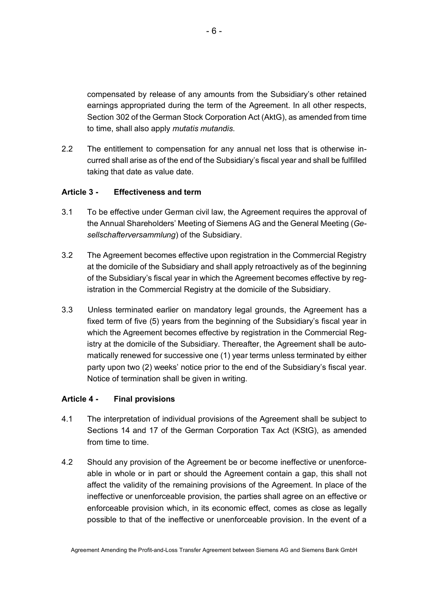compensated by release of any amounts from the Subsidiary's other retained earnings appropriated during the term of the Agreement. In all other respects, Section 302 of the German Stock Corporation Act (AktG), as amended from time to time, shall also apply *mutatis mutandis*.

2.2 The entitlement to compensation for any annual net loss that is otherwise incurred shall arise as of the end of the Subsidiary's fiscal year and shall be fulfilled taking that date as value date.

# **Article 3 - Effectiveness and term**

- 3.1 To be effective under German civil law, the Agreement requires the approval of the Annual Shareholders' Meeting of Siemens AG and the General Meeting (*Gesellschafterversammlung*) of the Subsidiary.
- 3.2 The Agreement becomes effective upon registration in the Commercial Registry at the domicile of the Subsidiary and shall apply retroactively as of the beginning of the Subsidiary's fiscal year in which the Agreement becomes effective by registration in the Commercial Registry at the domicile of the Subsidiary.
- 3.3 Unless terminated earlier on mandatory legal grounds, the Agreement has a fixed term of five (5) years from the beginning of the Subsidiary's fiscal year in which the Agreement becomes effective by registration in the Commercial Registry at the domicile of the Subsidiary. Thereafter, the Agreement shall be automatically renewed for successive one (1) year terms unless terminated by either party upon two (2) weeks' notice prior to the end of the Subsidiary's fiscal year. Notice of termination shall be given in writing.

## **Article 4 - Final provisions**

- 4.1 The interpretation of individual provisions of the Agreement shall be subject to Sections 14 and 17 of the German Corporation Tax Act (KStG), as amended from time to time.
- 4.2 Should any provision of the Agreement be or become ineffective or unenforceable in whole or in part or should the Agreement contain a gap, this shall not affect the validity of the remaining provisions of the Agreement. In place of the ineffective or unenforceable provision, the parties shall agree on an effective or enforceable provision which, in its economic effect, comes as close as legally possible to that of the ineffective or unenforceable provision. In the event of a